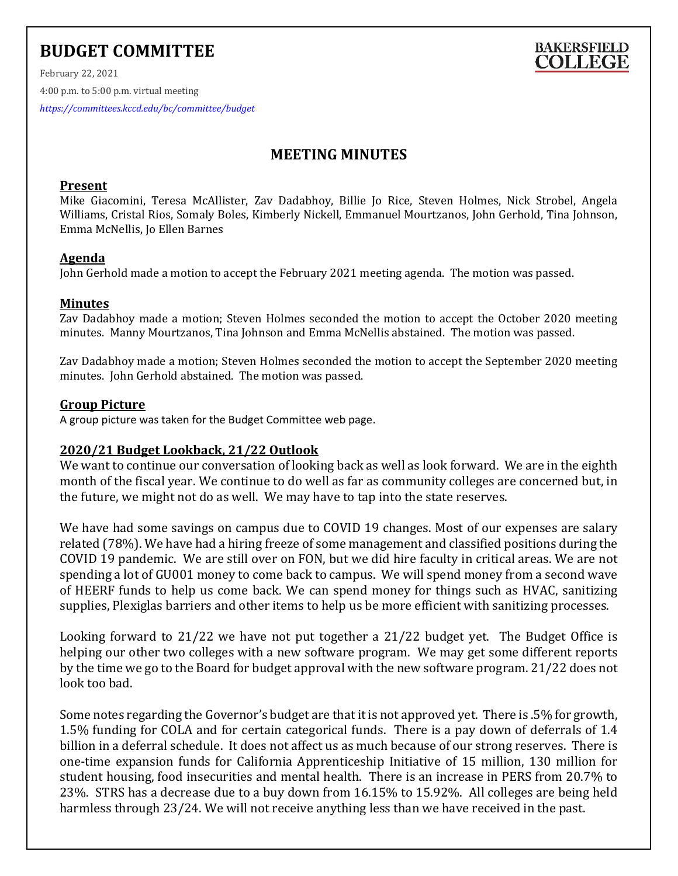# **BUDGET COMMITTEE**



February 22, 2021 4:00 p.m. to 5:00 p.m. virtual meeting *<https://committees.kccd.edu/bc/committee/budget>*

# **MEETING MINUTES**

## **Present**

Mike Giacomini, Teresa McAllister, Zav Dadabhoy, Billie Jo Rice, Steven Holmes, Nick Strobel, Angela Williams, Cristal Rios, Somaly Boles, Kimberly Nickell, Emmanuel Mourtzanos, John Gerhold, Tina Johnson, Emma McNellis, Jo Ellen Barnes

# **Agenda**

John Gerhold made a motion to accept the February 2021 meeting agenda. The motion was passed.

## **Minutes**

Zav Dadabhoy made a motion; Steven Holmes seconded the motion to accept the October 2020 meeting minutes. Manny Mourtzanos, Tina Johnson and Emma McNellis abstained. The motion was passed.

Zav Dadabhoy made a motion; Steven Holmes seconded the motion to accept the September 2020 meeting minutes. John Gerhold abstained. The motion was passed.

# **Group Picture**

A group picture was taken for the Budget Committee web page.

# **2020/21 Budget Lookback, 21/22 Outlook**

We want to continue our conversation of looking back as well as look forward. We are in the eighth month of the fiscal year. We continue to do well as far as community colleges are concerned but, in the future, we might not do as well. We may have to tap into the state reserves.

We have had some savings on campus due to COVID 19 changes. Most of our expenses are salary related (78%). We have had a hiring freeze of some management and classified positions during the COVID 19 pandemic. We are still over on FON, but we did hire faculty in critical areas. We are not spending a lot of GU001 money to come back to campus. We will spend money from a second wave of HEERF funds to help us come back. We can spend money for things such as HVAC, sanitizing supplies, Plexiglas barriers and other items to help us be more efficient with sanitizing processes.

Looking forward to 21/22 we have not put together a 21/22 budget yet. The Budget Office is helping our other two colleges with a new software program. We may get some different reports by the time we go to the Board for budget approval with the new software program. 21/22 does not look too bad.

Some notes regarding the Governor's budget are that it is not approved yet. There is .5% for growth, 1.5% funding for COLA and for certain categorical funds. There is a pay down of deferrals of 1.4 billion in a deferral schedule. It does not affect us as much because of our strong reserves. There is one-time expansion funds for California Apprenticeship Initiative of 15 million, 130 million for student housing, food insecurities and mental health. There is an increase in PERS from 20.7% to 23%. STRS has a decrease due to a buy down from 16.15% to 15.92%. All colleges are being held harmless through 23/24. We will not receive anything less than we have received in the past.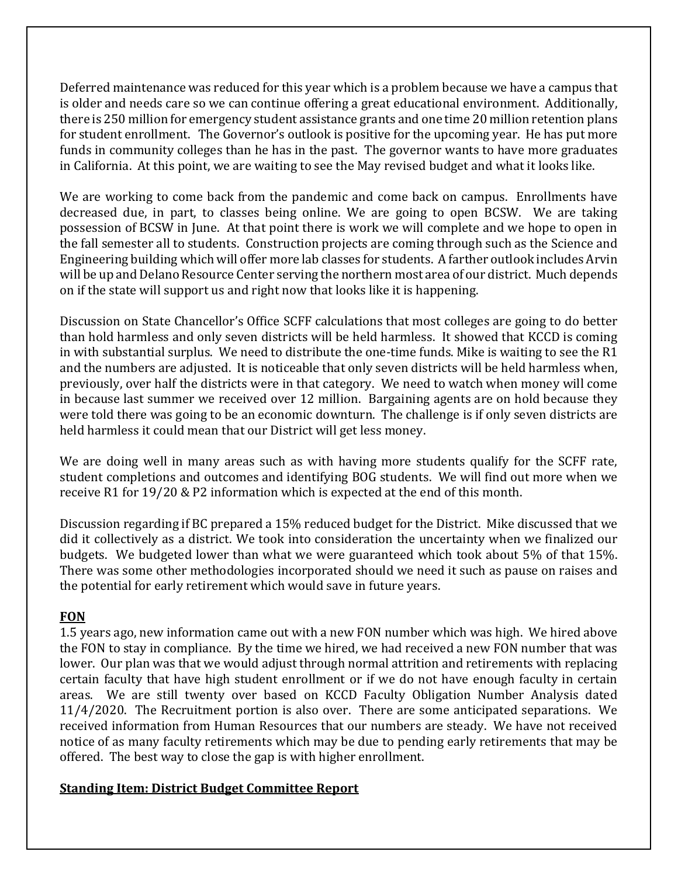Deferred maintenance was reduced for this year which is a problem because we have a campus that is older and needs care so we can continue offering a great educational environment. Additionally, there is 250 million for emergency student assistance grants and one time 20 million retention plans for student enrollment. The Governor's outlook is positive for the upcoming year. He has put more funds in community colleges than he has in the past. The governor wants to have more graduates in California. At this point, we are waiting to see the May revised budget and what it looks like.

We are working to come back from the pandemic and come back on campus. Enrollments have decreased due, in part, to classes being online. We are going to open BCSW. We are taking possession of BCSW in June. At that point there is work we will complete and we hope to open in the fall semester all to students. Construction projects are coming through such as the Science and Engineering building which will offer more lab classes for students. A farther outlook includes Arvin will be up and Delano Resource Center serving the northern most area of our district. Much depends on if the state will support us and right now that looks like it is happening.

Discussion on State Chancellor's Office SCFF calculations that most colleges are going to do better than hold harmless and only seven districts will be held harmless. It showed that KCCD is coming in with substantial surplus. We need to distribute the one-time funds. Mike is waiting to see the R1 and the numbers are adjusted. It is noticeable that only seven districts will be held harmless when, previously, over half the districts were in that category. We need to watch when money will come in because last summer we received over 12 million. Bargaining agents are on hold because they were told there was going to be an economic downturn. The challenge is if only seven districts are held harmless it could mean that our District will get less money.

We are doing well in many areas such as with having more students qualify for the SCFF rate, student completions and outcomes and identifying BOG students. We will find out more when we receive R1 for 19/20 & P2 information which is expected at the end of this month.

Discussion regarding if BC prepared a 15% reduced budget for the District. Mike discussed that we did it collectively as a district. We took into consideration the uncertainty when we finalized our budgets. We budgeted lower than what we were guaranteed which took about 5% of that 15%. There was some other methodologies incorporated should we need it such as pause on raises and the potential for early retirement which would save in future years.

# **FON**

1.5 years ago, new information came out with a new FON number which was high. We hired above the FON to stay in compliance. By the time we hired, we had received a new FON number that was lower. Our plan was that we would adjust through normal attrition and retirements with replacing certain faculty that have high student enrollment or if we do not have enough faculty in certain areas. We are still twenty over based on KCCD Faculty Obligation Number Analysis dated 11/4/2020. The Recruitment portion is also over. There are some anticipated separations. We received information from Human Resources that our numbers are steady. We have not received notice of as many faculty retirements which may be due to pending early retirements that may be offered. The best way to close the gap is with higher enrollment.

# **Standing Item: District Budget Committee Report**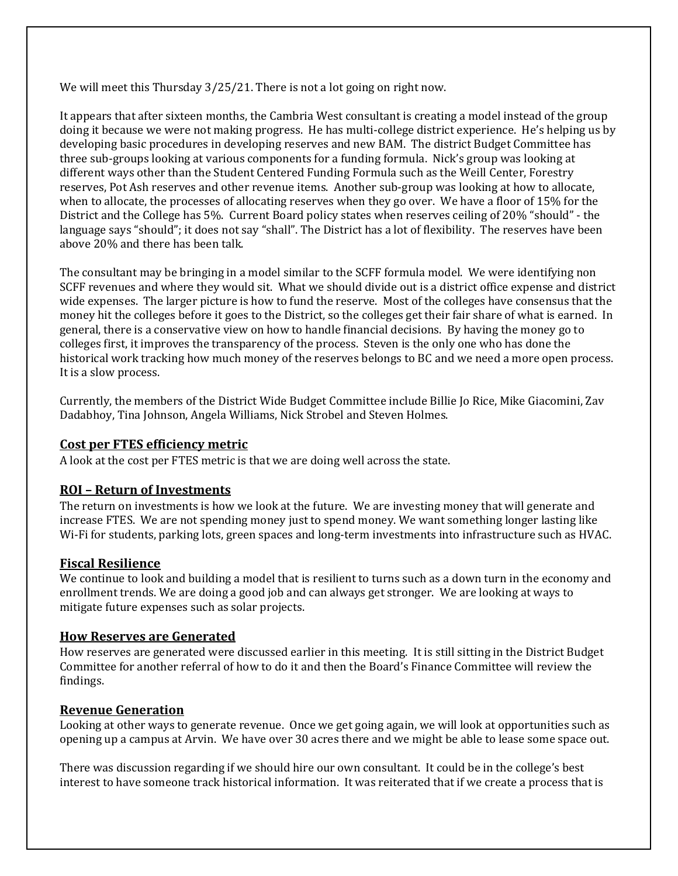We will meet this Thursday 3/25/21. There is not a lot going on right now.

It appears that after sixteen months, the Cambria West consultant is creating a model instead of the group doing it because we were not making progress. He has multi-college district experience. He's helping us by developing basic procedures in developing reserves and new BAM. The district Budget Committee has three sub-groups looking at various components for a funding formula. Nick's group was looking at different ways other than the Student Centered Funding Formula such as the Weill Center, Forestry reserves, Pot Ash reserves and other revenue items. Another sub-group was looking at how to allocate, when to allocate, the processes of allocating reserves when they go over. We have a floor of 15% for the District and the College has 5%. Current Board policy states when reserves ceiling of 20% "should" - the language says "should"; it does not say "shall". The District has a lot of flexibility. The reserves have been above 20% and there has been talk.

The consultant may be bringing in a model similar to the SCFF formula model. We were identifying non SCFF revenues and where they would sit. What we should divide out is a district office expense and district wide expenses. The larger picture is how to fund the reserve. Most of the colleges have consensus that the money hit the colleges before it goes to the District, so the colleges get their fair share of what is earned. In general, there is a conservative view on how to handle financial decisions. By having the money go to colleges first, it improves the transparency of the process. Steven is the only one who has done the historical work tracking how much money of the reserves belongs to BC and we need a more open process. It is a slow process.

Currently, the members of the District Wide Budget Committee include Billie Jo Rice, Mike Giacomini, Zav Dadabhoy, Tina Johnson, Angela Williams, Nick Strobel and Steven Holmes.

## **Cost per FTES efficiency metric**

A look at the cost per FTES metric is that we are doing well across the state.

## **ROI – Return of Investments**

The return on investments is how we look at the future. We are investing money that will generate and increase FTES. We are not spending money just to spend money. We want something longer lasting like Wi-Fi for students, parking lots, green spaces and long-term investments into infrastructure such as HVAC.

#### **Fiscal Resilience**

We continue to look and building a model that is resilient to turns such as a down turn in the economy and enrollment trends. We are doing a good job and can always get stronger. We are looking at ways to mitigate future expenses such as solar projects.

#### **How Reserves are Generated**

How reserves are generated were discussed earlier in this meeting. It is still sitting in the District Budget Committee for another referral of how to do it and then the Board's Finance Committee will review the findings.

#### **Revenue Generation**

Looking at other ways to generate revenue. Once we get going again, we will look at opportunities such as opening up a campus at Arvin. We have over 30 acres there and we might be able to lease some space out.

There was discussion regarding if we should hire our own consultant. It could be in the college's best interest to have someone track historical information. It was reiterated that if we create a process that is